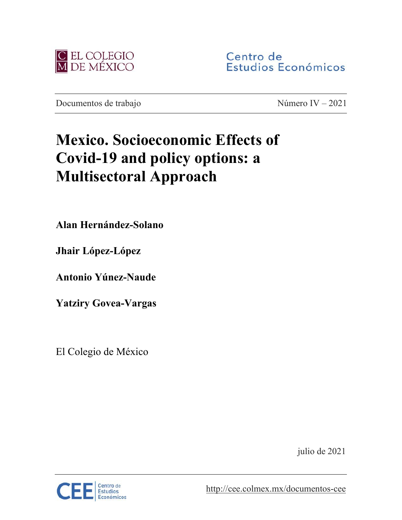

Centro de Estudios Económicos

Documentos de trabajo Número IV – 2021

# **Mexico. Socioeconomic Effects of Covid-19 and policy options: a Multisectoral Approach**

**Alan Hernández-Solano**

**Jhair López-López** 

**Antonio Yúnez-Naude**

**Yatziry Govea-Vargas**

El Colegio de México

julio de 2021



<http://cee.colmex.mx/documentos-cee>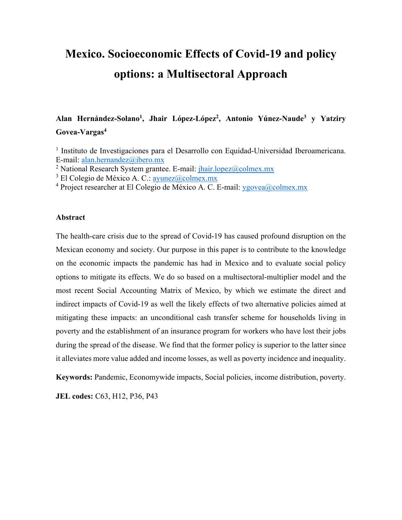# **Mexico. Socioeconomic Effects of Covid-19 and policy options: a Multisectoral Approach**

**Alan Hernández-Solano1, Jhair López-López2 , Antonio Yúnez-Naude3 y Yatziry Govea-Vargas4**

<sup>1</sup> Instituto de Investigaciones para el Desarrollo con Equidad-Universidad Iberoamericana. E-mail: [alan.hernandez@ibero.mx](mailto:alan.hernandez@ibero.mx)

<sup>2</sup> National Research System grantee. E-mail:  $\frac{1}{\hbar}$  hair.lopez@colmex.mx

 $3$  El Colegio de México A. C.: ayunez $(a)$ colmex.mx

<sup>4</sup> Project researcher at El Colegio de México A. C. E-mail: [ygovea@colmex.mx](mailto:ygovea@colmex.mx)

#### **Abstract**

The health-care crisis due to the spread of Covid-19 has caused profound disruption on the Mexican economy and society. Our purpose in this paper is to contribute to the knowledge on the economic impacts the pandemic has had in Mexico and to evaluate social policy options to mitigate its effects. We do so based on a multisectoral-multiplier model and the most recent Social Accounting Matrix of Mexico, by which we estimate the direct and indirect impacts of Covid-19 as well the likely effects of two alternative policies aimed at mitigating these impacts: an unconditional cash transfer scheme for households living in poverty and the establishment of an insurance program for workers who have lost their jobs during the spread of the disease. We find that the former policy is superior to the latter since it alleviates more value added and income losses, as well as poverty incidence and inequality.

**Keywords:** Pandemic, Economywide impacts, Social policies, income distribution, poverty.

**JEL codes:** C63, H12, P36, P43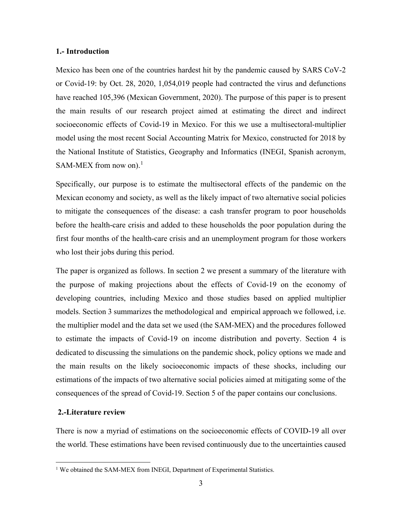#### **1.- Introduction**

Mexico has been one of the countries hardest hit by the pandemic caused by SARS CoV-2 or Covid-19: by Oct. 28, 2020, 1,054,019 people had contracted the virus and defunctions have reached 105,396 (Mexican Government, 2020). The purpose of this paper is to present the main results of our research project aimed at estimating the direct and indirect socioeconomic effects of Covid-19 in Mexico. For this we use a multisectoral-multiplier model using the most recent Social Accounting Matrix for Mexico, constructed for 2018 by the National Institute of Statistics, Geography and Informatics (INEGI, Spanish acronym, SAM-MEX from now on). $<sup>1</sup>$  $<sup>1</sup>$  $<sup>1</sup>$ </sup>

Specifically, our purpose is to estimate the multisectoral effects of the pandemic on the Mexican economy and society, as well as the likely impact of two alternative social policies to mitigate the consequences of the disease: a cash transfer program to poor households before the health-care crisis and added to these households the poor population during the first four months of the health-care crisis and an unemployment program for those workers who lost their jobs during this period.

The paper is organized as follows. In section 2 we present a summary of the literature with the purpose of making projections about the effects of Covid-19 on the economy of developing countries, including Mexico and those studies based on applied multiplier models. Section 3 summarizes the methodological and empirical approach we followed, i.e. the multiplier model and the data set we used (the SAM-MEX) and the procedures followed to estimate the impacts of Covid-19 on income distribution and poverty. Section 4 is dedicated to discussing the simulations on the pandemic shock, policy options we made and the main results on the likely socioeconomic impacts of these shocks, including our estimations of the impacts of two alternative social policies aimed at mitigating some of the consequences of the spread of Covid-19. Section 5 of the paper contains our conclusions.

#### **2.-Literature review**

There is now a myriad of estimations on the socioeconomic effects of COVID-19 all over the world. These estimations have been revised continuously due to the uncertainties caused

<span id="page-2-0"></span><sup>&</sup>lt;sup>1</sup> We obtained the SAM-MEX from INEGI, Department of Experimental Statistics.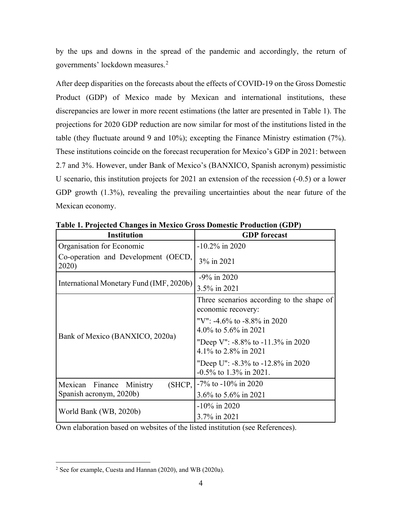by the ups and downs in the spread of the pandemic and accordingly, the return of governments' lockdown measures.[2](#page-3-0)

After deep disparities on the forecasts about the effects of COVID-19 on the Gross Domestic Product (GDP) of Mexico made by Mexican and international institutions, these discrepancies are lower in more recent estimations (the latter are presented in Table 1). The projections for 2020 GDP reduction are now similar for most of the institutions listed in the table (they fluctuate around 9 and 10%); excepting the Finance Ministry estimation (7%). These institutions coincide on the forecast recuperation for Mexico's GDP in 2021: between 2.7 and 3%. However, under Bank of Mexico's (BANXICO, Spanish acronym) pessimistic U scenario, this institution projects for 2021 an extension of the recession (-0.5) or a lower GDP growth (1.3%), revealing the prevailing uncertainties about the near future of the Mexican economy.

| <b>Institution</b>                           | <b>GDP</b> forecast                                             |
|----------------------------------------------|-----------------------------------------------------------------|
| Organisation for Economic                    | $-10.2\%$ in 2020                                               |
| Co-operation and Development (OECD,<br>2020) | 3% in 2021                                                      |
| International Monetary Fund (IMF, 2020b)     | $-9\%$ in 2020                                                  |
|                                              | 3.5% in 2021                                                    |
|                                              | Three scenarios according to the shape of<br>economic recovery: |
|                                              | "V": -4.6% to -8.8% in 2020<br>4.0% to 5.6% in 2021             |
| Bank of Mexico (BANXICO, 2020a)              | "Deep V": $-8.8\%$ to $-11.3\%$ in 2020<br>4.1% to 2.8% in 2021 |
|                                              | "Deep U": -8.3% to -12.8% in 2020<br>$-0.5\%$ to 1.3% in 2021.  |
| (SHCP,  <br>Mexican Finance<br>Ministry      | $-7\%$ to $-10\%$ in 2020                                       |
| Spanish acronym, 2020b)                      | 3.6% to 5.6% in 2021                                            |
|                                              | $-10\%$ in 2020                                                 |
| World Bank (WB, 2020b)                       | 3.7% in 2021                                                    |

**Table 1. Projected Changes in Mexico Gross Domestic Production (GDP)**

Own elaboration based on websites of the listed institution (see References).

<span id="page-3-0"></span><sup>2</sup> See for example, Cuesta and Hannan (2020), and WB (2020a).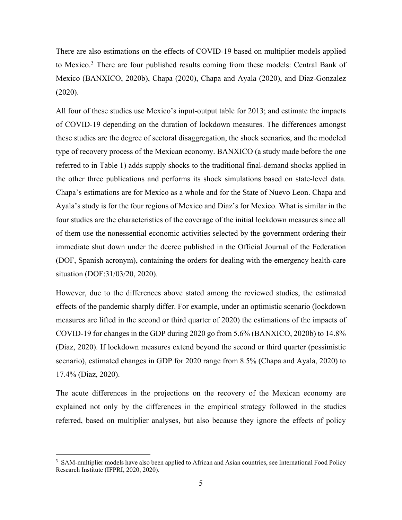There are also estimations on the effects of COVID-19 based on multiplier models applied to Mexico.<sup>[3](#page-4-0)</sup> There are four published results coming from these models: Central Bank of Mexico (BANXICO, 2020b), Chapa (2020), Chapa and Ayala (2020), and Diaz-Gonzalez (2020).

All four of these studies use Mexico's input-output table for 2013; and estimate the impacts of COVID-19 depending on the duration of lockdown measures. The differences amongst these studies are the degree of sectoral disaggregation, the shock scenarios, and the modeled type of recovery process of the Mexican economy. BANXICO (a study made before the one referred to in Table 1) adds supply shocks to the traditional final-demand shocks applied in the other three publications and performs its shock simulations based on state-level data. Chapa's estimations are for Mexico as a whole and for the State of Nuevo Leon. Chapa and Ayala's study is for the four regions of Mexico and Diaz's for Mexico. What is similar in the four studies are the characteristics of the coverage of the initial lockdown measures since all of them use the nonessential economic activities selected by the government ordering their immediate shut down under the decree published in the Official Journal of the Federation (DOF, Spanish acronym), containing the orders for dealing with the emergency health-care situation (DOF:31/03/20, 2020).

However, due to the differences above stated among the reviewed studies, the estimated effects of the pandemic sharply differ. For example, under an optimistic scenario (lockdown measures are lifted in the second or third quarter of 2020) the estimations of the impacts of COVID-19 for changes in the GDP during 2020 go from 5.6% (BANXICO, 2020b) to 14.8% (Diaz, 2020). If lockdown measures extend beyond the second or third quarter (pessimistic scenario), estimated changes in GDP for 2020 range from 8.5% (Chapa and Ayala, 2020) to 17.4% (Diaz, 2020).

The acute differences in the projections on the recovery of the Mexican economy are explained not only by the differences in the empirical strategy followed in the studies referred, based on multiplier analyses, but also because they ignore the effects of policy

<span id="page-4-0"></span><sup>&</sup>lt;sup>3</sup> SAM-multiplier models have also been applied to African and Asian countries, see International Food Policy Research Institute (IFPRI, 2020, 2020).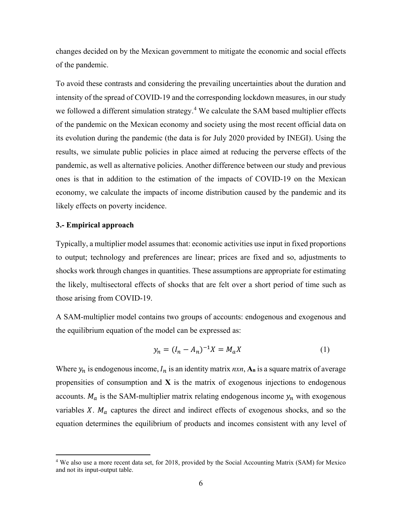changes decided on by the Mexican government to mitigate the economic and social effects of the pandemic.

To avoid these contrasts and considering the prevailing uncertainties about the duration and intensity of the spread of COVID-19 and the corresponding lockdown measures, in our study we followed a different simulation strategy.<sup>[4](#page-5-0)</sup> We calculate the SAM based multiplier effects of the pandemic on the Mexican economy and society using the most recent official data on its evolution during the pandemic (the data is for July 2020 provided by INEGI). Using the results, we simulate public policies in place aimed at reducing the perverse effects of the pandemic, as well as alternative policies. Another difference between our study and previous ones is that in addition to the estimation of the impacts of COVID-19 on the Mexican economy, we calculate the impacts of income distribution caused by the pandemic and its likely effects on poverty incidence.

#### **3.- Empirical approach**

Typically, a multiplier model assumes that: economic activities use input in fixed proportions to output; technology and preferences are linear; prices are fixed and so, adjustments to shocks work through changes in quantities. These assumptions are appropriate for estimating the likely, multisectoral effects of shocks that are felt over a short period of time such as those arising from COVID-19.

A SAM-multiplier model contains two groups of accounts: endogenous and exogenous and the equilibrium equation of the model can be expressed as:

$$
y_n = (I_n - A_n)^{-1} X = M_a X \tag{1}
$$

Where  $y_n$  is endogenous income,  $I_n$  is an identity matrix  $n x n$ ,  $A_n$  is a square matrix of average propensities of consumption and **X** is the matrix of exogenous injections to endogenous accounts.  $M_a$  is the SAM-multiplier matrix relating endogenous income  $y_n$  with exogenous variables  $X$ .  $M_a$  captures the direct and indirect effects of exogenous shocks, and so the equation determines the equilibrium of products and incomes consistent with any level of

<span id="page-5-0"></span><sup>4</sup> We also use a more recent data set, for 2018, provided by the Social Accounting Matrix (SAM) for Mexico and not its input-output table.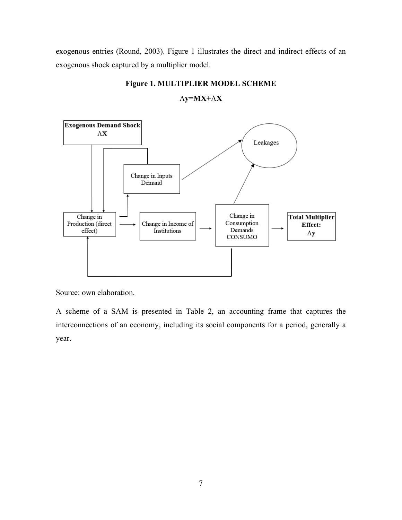exogenous entries (Round, 2003). Figure 1 illustrates the direct and indirect effects of an exogenous shock captured by a multiplier model.



**Figure 1. MULTIPLIER MODEL SCHEME**

Λ**y=MX+**Λ**X**

Source: own elaboration.

A scheme of a SAM is presented in Table 2, an accounting frame that captures the interconnections of an economy, including its social components for a period, generally a year.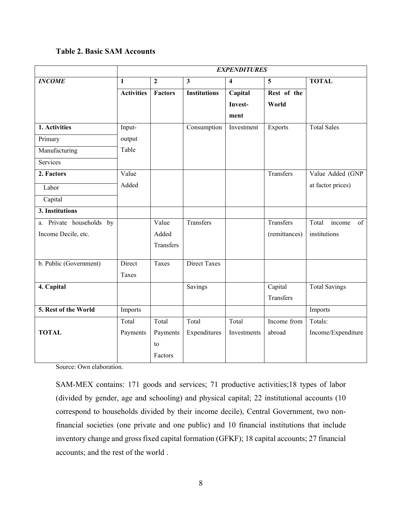# **Table 2. Basic SAM Accounts**

|                          | <b>EXPENDITURES</b> |                |                     |             |               |                       |
|--------------------------|---------------------|----------------|---------------------|-------------|---------------|-----------------------|
| <b>INCOME</b>            | $\mathbf{1}$        | $\overline{2}$ | $\mathbf{3}$        | 4           | 5             | <b>TOTAL</b>          |
|                          | <b>Activities</b>   | <b>Factors</b> | <b>Institutions</b> | Capital     | Rest of the   |                       |
|                          |                     |                |                     | Invest-     | World         |                       |
|                          |                     |                |                     | ment        |               |                       |
| 1. Activities            | Input-              |                | Consumption         | Investment  | Exports       | <b>Total Sales</b>    |
| Primary                  | output              |                |                     |             |               |                       |
| Manufacturing            | Table               |                |                     |             |               |                       |
| Services                 |                     |                |                     |             |               |                       |
| 2. Factors               | Value               |                |                     |             | Transfers     | Value Added (GNP      |
| Labor                    | Added               |                |                     |             |               | at factor prices)     |
| Capital                  |                     |                |                     |             |               |                       |
| 3. Institutions          |                     |                |                     |             |               |                       |
| a. Private households by |                     | Value          | Transfers           |             | Transfers     | Total<br>income<br>of |
| Income Decile, etc.      |                     | Added          |                     |             | (remittances) | institutions          |
|                          |                     | Transfers      |                     |             |               |                       |
| b. Public (Government)   | Direct              | Taxes          | <b>Direct Taxes</b> |             |               |                       |
|                          | Taxes               |                |                     |             |               |                       |
| 4. Capital               |                     |                | Savings             |             | Capital       | <b>Total Savings</b>  |
|                          |                     |                |                     |             | Transfers     |                       |
| 5. Rest of the World     | Imports             |                |                     |             |               | Imports               |
|                          | Total               | Total          | Total               | Total       | Income from   | Totals:               |
| <b>TOTAL</b>             | Payments            | Payments       | Expenditures        | Investments | abroad        | Income/Expenditure    |
|                          |                     | to             |                     |             |               |                       |
|                          |                     | Factors        |                     |             |               |                       |

Source: Own elaboration.

SAM-MEX contains: 171 goods and services; 71 productive activities;18 types of labor (divided by gender, age and schooling) and physical capital; 22 institutional accounts (10 correspond to households divided by their income decile), Central Government, two nonfinancial societies (one private and one public) and 10 financial institutions that include inventory change and gross fixed capital formation (GFKF); 18 capital accounts; 27 financial accounts; and the rest of the world .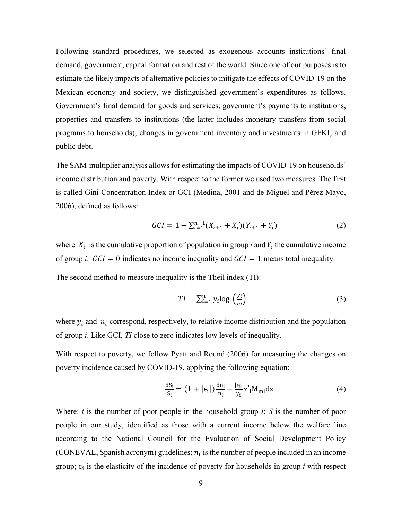Following standard procedures, we selected as exogenous accounts institutions' final demand, government, capital formation and rest of the world. Since one of our purposes is to estimate the likely impacts of alternative policies to mitigate the effects of COVID-19 on the Mexican economy and society, we distinguished government's expenditures as follows. Government's final demand for goods and services; government's payments to institutions, properties and transfers to institutions (the latter includes monetary transfers from social programs to households); changes in government inventory and investments in GFKI; and public debt.

The SAM-multiplier analysis allows for estimating the impacts of COVID-19 on households' income distribution and poverty. With respect to the former we used two measures. The first is called Gini Concentration Index or GCI (Medina, 2001 and de Miguel and Pérez-Mayo, 2006), defined as follows:

$$
GCI = 1 - \sum_{i=1}^{n-1} (X_{i+1} + X_i)(Y_{i+1} + Y_i)
$$
 (2)

where  $X_i$  is the cumulative proportion of population in group *i* and  $Y_i$  the cumulative income of group *i*.  $GCI = 0$  indicates no income inequality and  $GCI = 1$  means total inequality.

The second method to measure inequality is the Theil index (TI):

$$
TI = \sum_{i=1}^{n} y_i \log \left(\frac{y_i}{n_i}\right) \tag{3}
$$

where  $y_i$  and  $n_i$  correspond, respectively, to relative income distribution and the population of group *i*. Like GCI, *TI* close to zero indicates low levels of inequality.

With respect to poverty, we follow Pyatt and Round (2006) for measuring the changes on poverty incidence caused by COVID-19, applying the following equation:

$$
\frac{dS_i}{S_i} = (1 + |\epsilon_i|) \frac{dn_i}{n_i} - \frac{|\epsilon_i|}{y_i} Z'_i M_{ml} dx \tag{4}
$$

Where: *i* is the number of poor people in the household group *I*; *S* is the number of poor people in our study, identified as those with a current income below the welfare line according to the National Council for the Evaluation of Social Development Policy (CONEVAL, Spanish acronym) guidelines;  $n_i$  is the number of people included in an income group;  $\epsilon_i$  is the elasticity of the incidence of poverty for households in group *i* with respect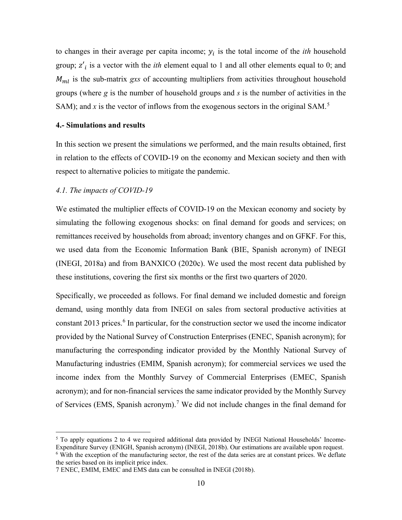to changes in their average per capita income;  $y_i$  is the total income of the *ith* household group;  $z'_i$  is a vector with the *ith* element equal to 1 and all other elements equal to 0; and  $M_{ml}$  is the sub-matrix *gxs* of accounting multipliers from activities throughout household groups (where *g* is the number of household groups and *s* is the number of activities in the SAM); and x is the vector of inflows from the exogenous sectors in the original SAM.<sup>[5](#page-9-0)</sup>

#### **4.- Simulations and results**

In this section we present the simulations we performed, and the main results obtained, first in relation to the effects of COVID-19 on the economy and Mexican society and then with respect to alternative policies to mitigate the pandemic.

#### *4.1. The impacts of COVID-19*

We estimated the multiplier effects of COVID-19 on the Mexican economy and society by simulating the following exogenous shocks: on final demand for goods and services; on remittances received by households from abroad; inventory changes and on GFKF. For this, we used data from the Economic Information Bank (BIE, Spanish acronym) of INEGI (INEGI, 2018a) and from BANXICO (2020c). We used the most recent data published by these institutions, covering the first six months or the first two quarters of 2020.

Specifically, we proceeded as follows. For final demand we included domestic and foreign demand, using monthly data from INEGI on sales from sectoral productive activities at constant 2013 prices.<sup>[6](#page-9-1)</sup> In particular, for the construction sector we used the income indicator provided by the National Survey of Construction Enterprises (ENEC, Spanish acronym); for manufacturing the corresponding indicator provided by the Monthly National Survey of Manufacturing industries (EMIM, Spanish acronym); for commercial services we used the income index from the Monthly Survey of Commercial Enterprises (EMEC, Spanish acronym); and for non-financial services the same indicator provided by the Monthly Survey of Services (EMS, Spanish acronym).<sup>[7](#page-9-2)</sup> We did not include changes in the final demand for

<span id="page-9-0"></span><sup>5</sup> To apply equations 2 to 4 we required additional data provided by INEGI National Households' Income-Expenditure Survey (ENIGH, Spanish acronym) (INEGI, 2018b). Our estimations are available upon request.

<span id="page-9-1"></span><sup>&</sup>lt;sup>6</sup> With the exception of the manufacturing sector, the rest of the data series are at constant prices. We deflate the series based on its implicit price index.

<span id="page-9-2"></span><sup>7</sup> ENEC, EMIM, EMEC and EMS data can be consulted in INEGI (2018b).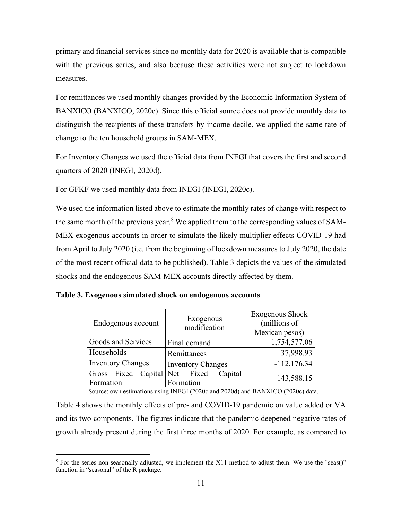primary and financial services since no monthly data for 2020 is available that is compatible with the previous series, and also because these activities were not subject to lockdown measures.

For remittances we used monthly changes provided by the Economic Information System of BANXICO (BANXICO, 2020c). Since this official source does not provide monthly data to distinguish the recipients of these transfers by income decile, we applied the same rate of change to the ten household groups in SAM-MEX.

For Inventory Changes we used the official data from INEGI that covers the first and second quarters of 2020 (INEGI, 2020d).

For GFKF we used monthly data from INEGI (INEGI, 2020c).

We used the information listed above to estimate the monthly rates of change with respect to the same month of the previous year.<sup>[8](#page-10-0)</sup> We applied them to the corresponding values of SAM-MEX exogenous accounts in order to simulate the likely multiplier effects COVID-19 had from April to July 2020 (i.e. from the beginning of lockdown measures to July 2020, the date of the most recent official data to be published). Table 3 depicts the values of the simulated shocks and the endogenous SAM-MEX accounts directly affected by them.

| Endogenous account                                   | Exogenous<br>modification | Exogenous Shock<br>(millions of<br>Mexican pesos) |
|------------------------------------------------------|---------------------------|---------------------------------------------------|
| Goods and Services                                   | Final demand              | $-1,754,577.06$                                   |
| Households                                           | Remittances               | 37,998.93                                         |
| <b>Inventory Changes</b><br><b>Inventory Changes</b> |                           | $-112, 176.34$                                    |
| Gross Fixed Capital Net Fixed                        | Capital                   | $-143,588.15$                                     |
| Formation                                            | Formation                 |                                                   |

| Table 3. Exogenous simulated shock on endogenous accounts |  |  |
|-----------------------------------------------------------|--|--|
|                                                           |  |  |

Source: own estimations using INEGI (2020c and 2020d) and BANXICO (2020c) data.

Table 4 shows the monthly effects of pre- and COVID-19 pandemic on value added or VA and its two components. The figures indicate that the pandemic deepened negative rates of growth already present during the first three months of 2020. For example, as compared to

<span id="page-10-0"></span><sup>&</sup>lt;sup>8</sup> For the series non-seasonally adjusted, we implement the X11 method to adjust them. We use the "seas()" function in "seasonal" of the R package.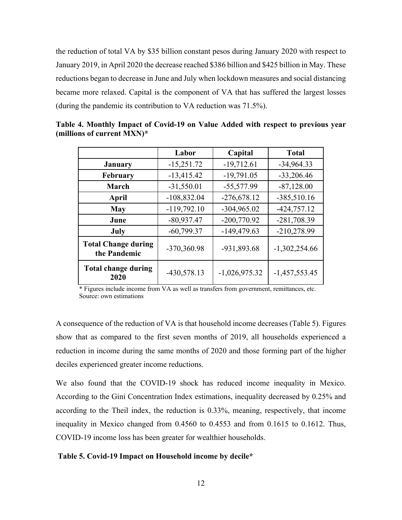the reduction of total VA by \$35 billion constant pesos during January 2020 with respect to January 2019, in April 2020 the decrease reached \$386 billion and \$425 billion in May. These reductions began to decrease in June and July when lockdown measures and social distancing became more relaxed. Capital is the component of VA that has suffered the largest losses (during the pandemic its contribution to VA reduction was 71.5%).

|                                            | Labor         | Capital         | <b>Total</b>    |
|--------------------------------------------|---------------|-----------------|-----------------|
| <b>January</b>                             | $-15,251.72$  | $-19,712.61$    | $-34,964.33$    |
| February                                   | $-13,415.42$  | $-19,791.05$    | $-33,206.46$    |
| <b>March</b>                               | $-31,550.01$  | $-55,577.99$    | $-87,128.00$    |
| April                                      | $-108,832.04$ | $-276,678.12$   | $-385,510.16$   |
| <b>May</b>                                 | $-119,792.10$ | $-304,965.02$   | $-424,757.12$   |
| June                                       | $-80,937.47$  | $-200,770.92$   | -281,708.39     |
| July                                       | $-60,799.37$  | $-149,479.63$   | $-210,278.99$   |
| <b>Total Change during</b><br>the Pandemic | -370,360.98   | -931,893.68     | $-1,302,254.66$ |
| <b>Total change during</b><br>2020         | $-430,578.13$ | $-1,026,975.32$ | $-1,457,553.45$ |

**Table 4. Monthly Impact of Covid-19 on Value Added with respect to previous year (millions of current MXN)\***

\* Figures include income from VA as well as transfers from government, remittances, etc. Source: own estimations

A consequence of the reduction of VA is that household income decreases (Table 5). Figures show that as compared to the first seven months of 2019, all households experienced a reduction in income during the same months of 2020 and those forming part of the higher deciles experienced greater income reductions.

We also found that the COVID-19 shock has reduced income inequality in Mexico. According to the Gini Concentration Index estimations, inequality decreased by 0.25% and according to the Theil index, the reduction is 0.33%, meaning, respectively, that income inequality in Mexico changed from 0.4560 to 0.4553 and from 0.1615 to 0.1612. Thus, COVID-19 income loss has been greater for wealthier households.

#### **Table 5. Covid-19 Impact on Household income by decile\***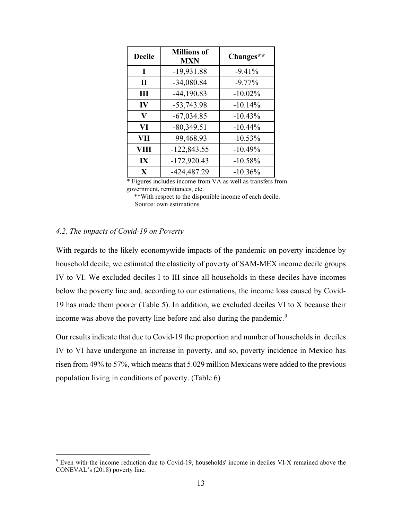| <b>Decile</b> | <b>Millions of</b><br><b>MXN</b> | Changes**  |
|---------------|----------------------------------|------------|
| I             | $-19,931.88$                     | $-9.41%$   |
| $\mathbf{I}$  | $-34,080.84$                     | $-9.77\%$  |
| Ш             | $-44,190.83$                     | $-10.02\%$ |
| IV            | $-53,743.98$                     | $-10.14%$  |
| $\bf{V}$      | $-67,034.85$                     | $-10.43%$  |
| VI            | $-80,349.51$                     | $-10.44%$  |
| VII           | -99,468.93                       | $-10.53%$  |
| VIII          | $-122,843.55$                    | $-10.49%$  |
| IX            | $-172,920.43$                    | $-10.58%$  |
| $\mathbf{X}$  | $-424,487.29$                    | $-10.36%$  |

\* Figures includes income from VA as well as transfers from government, remittances, etc.

\*\*With respect to the disponible income of each decile. Source: own estimations

# *4.2. The impacts of Covid-19 on Poverty*

With regards to the likely economywide impacts of the pandemic on poverty incidence by household decile, we estimated the elasticity of poverty of SAM-MEX income decile groups IV to VI. We excluded deciles I to III since all households in these deciles have incomes below the poverty line and, according to our estimations, the income loss caused by Covid-19 has made them poorer (Table 5). In addition, we excluded deciles VI to X because their income was above the poverty line before and also during the pandemic.<sup>[9](#page-12-0)</sup>

Our results indicate that due to Covid-19 the proportion and number of households in deciles IV to VI have undergone an increase in poverty, and so, poverty incidence in Mexico has risen from 49% to 57%, which means that 5.029 million Mexicans were added to the previous population living in conditions of poverty. (Table 6)

<span id="page-12-0"></span><sup>9</sup> Even with the income reduction due to Covid-19, households' income in deciles VI-X remained above the CONEVAL's (2018) poverty line.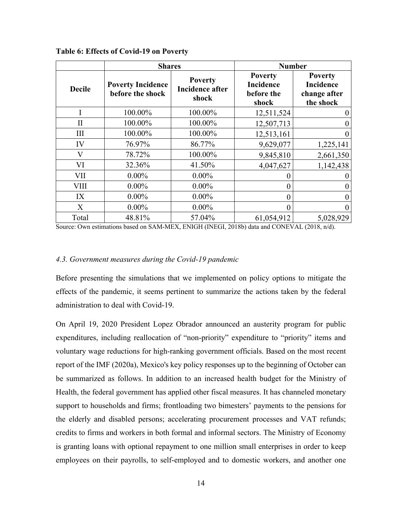|               | <b>Shares</b>                                |                                                   | <b>Number</b>                                             |                                                                 |
|---------------|----------------------------------------------|---------------------------------------------------|-----------------------------------------------------------|-----------------------------------------------------------------|
| <b>Decile</b> | <b>Poverty Incidence</b><br>before the shock | <b>Poverty</b><br><b>Incidence after</b><br>shock | <b>Poverty</b><br><b>Incidence</b><br>before the<br>shock | <b>Poverty</b><br><b>Incidence</b><br>change after<br>the shock |
| I             | 100.00%                                      | 100.00%                                           | 12,511,524                                                | $\boldsymbol{0}$                                                |
| $\mathbf{I}$  | 100.00%                                      | 100.00%                                           | 12,507,713                                                | $\boldsymbol{0}$                                                |
| III           | 100.00%                                      | 100.00%                                           | 12,513,161                                                | $\boldsymbol{0}$                                                |
| IV            | 76.97%                                       | 86.77%                                            | 9,629,077                                                 | 1,225,141                                                       |
| V             | 78.72%                                       | 100.00%                                           | 9,845,810                                                 | 2,661,350                                                       |
| VI            | 32.36%                                       | 41.50%                                            | 4,047,627                                                 | 1,142,438                                                       |
| <b>VII</b>    | $0.00\%$                                     | $0.00\%$                                          |                                                           |                                                                 |
| <b>VIII</b>   | $0.00\%$                                     | $0.00\%$                                          |                                                           | $\boldsymbol{0}$                                                |
| IX            | $0.00\%$                                     | $0.00\%$                                          | 0                                                         | $\boldsymbol{0}$                                                |
| X             | $0.00\%$                                     | $0.00\%$                                          |                                                           | $\boldsymbol{0}$                                                |
| Total         | 48.81%                                       | 57.04%                                            | 61,054,912                                                | 5,028,929                                                       |

**Table 6: Effects of Covid-19 on Poverty**

Source: Own estimations based on SAM-MEX, ENIGH (INEGI, 2018b) data and CONEVAL (2018, n/d).

#### *4.3. Government measures during the Covid-19 pandemic*

Before presenting the simulations that we implemented on policy options to mitigate the effects of the pandemic, it seems pertinent to summarize the actions taken by the federal administration to deal with Covid-19.

On April 19, 2020 President Lopez Obrador announced an austerity program for public expenditures, including reallocation of "non-priority" expenditure to "priority" items and voluntary wage reductions for high-ranking government officials. Based on the most recent report of the IMF (2020a), Mexico's key policy responses up to the beginning of October can be summarized as follows. In addition to an increased health budget for the Ministry of Health, the federal government has applied other fiscal measures. It has channeled monetary support to households and firms; frontloading two bimesters' payments to the pensions for the elderly and disabled persons; accelerating procurement processes and VAT refunds; credits to firms and workers in both formal and informal sectors. The Ministry of Economy is granting loans with optional repayment to one million small enterprises in order to keep employees on their payrolls, to self-employed and to domestic workers, and another one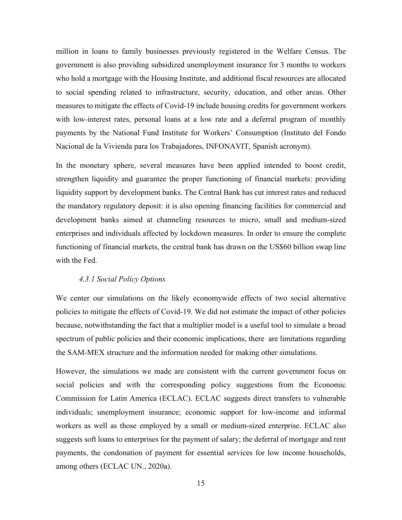million in loans to family businesses previously registered in the Welfare Census. The government is also providing subsidized unemployment insurance for 3 months to workers who hold a mortgage with the Housing Institute, and additional fiscal resources are allocated to social spending related to infrastructure, security, education, and other areas. Other measures to mitigate the effects of Covid-19 include housing credits for government workers with low-interest rates, personal loans at a low rate and a deferral program of monthly payments by the National Fund Institute for Workers' Consumption (Instituto del Fondo Nacional de la Vivienda para los Trabajadores, INFONAVIT, Spanish acronym).

In the monetary sphere, several measures have been applied intended to boost credit, strengthen liquidity and guarantee the proper functioning of financial markets: providing liquidity support by development banks. The Central Bank has cut interest rates and reduced the mandatory regulatory deposit: it is also opening financing facilities for commercial and development banks aimed at channeling resources to micro, small and medium-sized enterprises and individuals affected by lockdown measures. In order to ensure the complete functioning of financial markets, the central bank has drawn on the US\$60 billion swap line with the Fed.

#### *4.3.1 Social Policy Options*

We center our simulations on the likely economywide effects of two social alternative policies to mitigate the effects of Covid-19. We did not estimate the impact of other policies because, notwithstanding the fact that a multiplier model is a useful tool to simulate a broad spectrum of public policies and their economic implications, there are limitations regarding the SAM-MEX structure and the information needed for making other simulations.

However, the simulations we made are consistent with the current government focus on social policies and with the corresponding policy suggestions from the Economic Commission for Latin America (ECLAC). ECLAC suggests direct transfers to vulnerable individuals; unemployment insurance; economic support for low-income and informal workers as well as those employed by a small or medium-sized enterprise. ECLAC also suggests soft loans to enterprises for the payment of salary; the deferral of mortgage and rent payments, the condonation of payment for essential services for low income households, among others (ECLAC UN., 2020a).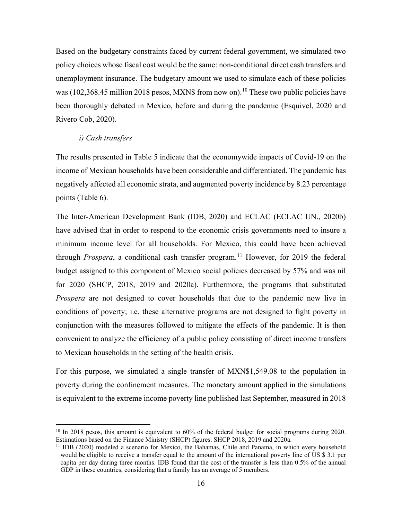Based on the budgetary constraints faced by current federal government, we simulated two policy choices whose fiscal cost would be the same: non-conditional direct cash transfers and unemployment insurance. The budgetary amount we used to simulate each of these policies was ([10](#page-15-0)2,368.45 million 2018 pesos, MXN\$ from now on).<sup>10</sup> These two public policies have been thoroughly debated in Mexico, before and during the pandemic (Esquivel, 2020 and Rivero Cob, 2020).

## *i) Cash transfers*

The results presented in Table 5 indicate that the economywide impacts of Covid-19 on the income of Mexican households have been considerable and differentiated. The pandemic has negatively affected all economic strata, and augmented poverty incidence by 8.23 percentage points (Table 6).

The Inter-American Development Bank (IDB, 2020) and ECLAC (ECLAC UN., 2020b) have advised that in order to respond to the economic crisis governments need to insure a minimum income level for all households. For Mexico, this could have been achieved through *Prospera*, a conditional cash transfer program.<sup>[11](#page-15-1)</sup> However, for 2019 the federal budget assigned to this component of Mexico social policies decreased by 57% and was nil for 2020 (SHCP, 2018, 2019 and 2020a). Furthermore, the programs that substituted *Prospera* are not designed to cover households that due to the pandemic now live in conditions of poverty; i.e. these alternative programs are not designed to fight poverty in conjunction with the measures followed to mitigate the effects of the pandemic. It is then convenient to analyze the efficiency of a public policy consisting of direct income transfers to Mexican households in the setting of the health crisis.

For this purpose, we simulated a single transfer of MXN\$1,549.08 to the population in poverty during the confinement measures. The monetary amount applied in the simulations is equivalent to the extreme income poverty line published last September, measured in 2018

<span id="page-15-0"></span><sup>&</sup>lt;sup>10</sup> In 2018 pesos, this amount is equivalent to 60% of the federal budget for social programs during 2020.<br>Estimations based on the Finance Ministry (SHCP) figures: SHCP 2018, 2019 and 2020a.

<span id="page-15-1"></span> $11$  IDB (2020) modeled a scenario for Mexico, the Bahamas, Chile and Panama, in which every household would be eligible to receive a transfer equal to the amount of the international poverty line of US \$ 3.1 per capita per day during three months. IDB found that the cost of the transfer is less than 0.5% of the annual GDP in these countries, considering that a family has an average of 5 members.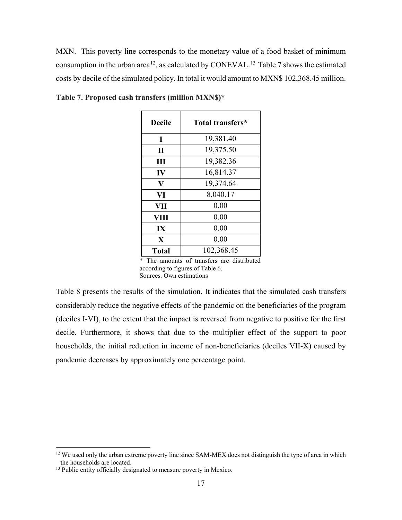MXN. This poverty line corresponds to the monetary value of a food basket of minimum consumption in the urban area<sup>12</sup>, as calculated by CONEVAL.<sup>13</sup> Table 7 shows the estimated costs by decile of the simulated policy. In total it would amount to MXN\$ 102,368.45 million.

| <b>Decile</b> | Total transfers* |
|---------------|------------------|
| I             | 19,381.40        |
| $\mathbf{I}$  | 19,375.50        |
| Ш             | 19,382.36        |
| IV            | 16,814.37        |
| $\bf V$       | 19,374.64        |
| VI            | 8,040.17         |
| VII           | 0.00             |
| VIII          | 0.00             |
| IX            | 0.00             |
| $\mathbf{X}$  | 0.00             |
| <b>Total</b>  | 102,368.45       |

**Table 7. Proposed cash transfers (million MXN\$)\***

\* The amounts of transfers are distributed according to figures of Table 6. Sources. Own estimations

Table 8 presents the results of the simulation. It indicates that the simulated cash transfers considerably reduce the negative effects of the pandemic on the beneficiaries of the program (deciles I-VI), to the extent that the impact is reversed from negative to positive for the first decile. Furthermore, it shows that due to the multiplier effect of the support to poor households, the initial reduction in income of non-beneficiaries (deciles VII-X) caused by pandemic decreases by approximately one percentage point.

<span id="page-16-0"></span><sup>&</sup>lt;sup>12</sup> We used only the urban extreme poverty line since SAM-MEX does not distinguish the type of area in which the households are located.

<span id="page-16-1"></span><sup>&</sup>lt;sup>13</sup> Public entity officially designated to measure poverty in Mexico.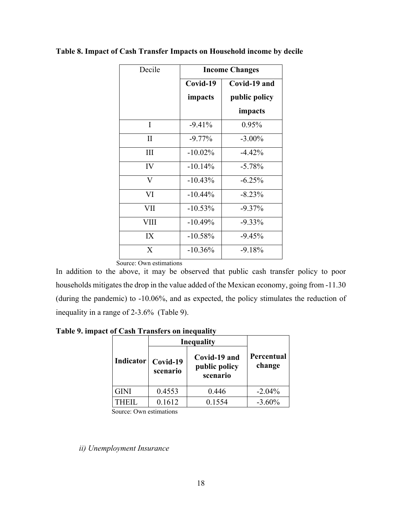| Decile                  | <b>Income Changes</b> |               |
|-------------------------|-----------------------|---------------|
|                         | Covid-19              | Covid-19 and  |
|                         | impacts               | public policy |
|                         |                       | impacts       |
| I                       | $-9.41%$              | 0.95%         |
| $\mathbf{I}$            | $-9.77\%$             | $-3.00\%$     |
| Ш                       | $-10.02\%$            | $-4.42\%$     |
| IV                      | $-10.14%$             | $-5.78%$      |
| $\overline{\mathbf{V}}$ | $-10.43%$             | $-6.25%$      |
| VI                      | $-10.44%$             | $-8.23%$      |
| VII                     | $-10.53%$             | $-9.37\%$     |
| <b>VIII</b>             | $-10.49%$             | $-9.33\%$     |
| IX                      | $-10.58%$             | $-9.45%$      |
| $\mathbf{X}$            | $-10.36%$             | $-9.18%$      |

# **Table 8. Impact of Cash Transfer Impacts on Household income by decile**

Source: Own estimations

In addition to the above, it may be observed that public cash transfer policy to poor households mitigates the drop in the value added of the Mexican economy, going from -11.30 (during the pandemic) to -10.06%, and as expected, the policy stimulates the reduction of inequality in a range of 2-3.6% (Table 9).

**Table 9. impact of Cash Transfers on inequality**

|           | Inequality           |                                           |                      |
|-----------|----------------------|-------------------------------------------|----------------------|
| Indicator | Covid-19<br>scenario | Covid-19 and<br>public policy<br>scenario | Percentual<br>change |
| GINI      | 0.4553               | 0.446                                     | $-2.04%$             |
|           | 0.1612               | 0.1554                                    | $-3.60\%$            |

Source: Own estimations

*ii) Unemployment Insurance*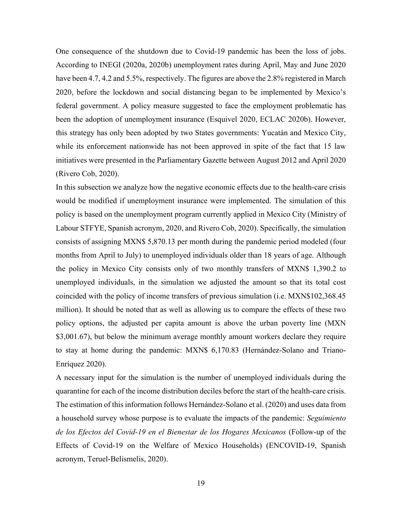One consequence of the shutdown due to Covid-19 pandemic has been the loss of jobs. According to INEGI (2020a, 2020b) unemployment rates during April, May and June 2020 have been 4.7, 4.2 and 5.5%, respectively. The figures are above the 2.8% registered in March 2020, before the lockdown and social distancing began to be implemented by Mexico's federal government. A policy measure suggested to face the employment problematic has been the adoption of unemployment insurance (Esquivel 2020, ECLAC 2020b). However, this strategy has only been adopted by two States governments: Yucatán and Mexico City, while its enforcement nationwide has not been approved in spite of the fact that 15 law initiatives were presented in the Parliamentary Gazette between August 2012 and April 2020 (Rivero Cob, 2020).

In this subsection we analyze how the negative economic effects due to the health-care crisis would be modified if unemployment insurance were implemented. The simulation of this policy is based on the unemployment program currently applied in Mexico City (Ministry of Labour STFYE, Spanish acronym, 2020, and Rivero Cob, 2020). Specifically, the simulation consists of assigning MXN\$ 5,870.13 per month during the pandemic period modeled (four months from April to July) to unemployed individuals older than 18 years of age. Although the policy in Mexico City consists only of two monthly transfers of MXN\$ 1,390.2 to unemployed individuals, in the simulation we adjusted the amount so that its total cost coincided with the policy of income transfers of previous simulation (i.e. MXN\$102,368.45 million). It should be noted that as well as allowing us to compare the effects of these two policy options, the adjusted per capita amount is above the urban poverty line (MXN \$3,001.67), but below the minimum average monthly amount workers declare they require to stay at home during the pandemic: MXN\$ 6,170.83 (Hernández-Solano and Triano-Enríquez 2020).

A necessary input for the simulation is the number of unemployed individuals during the quarantine for each of the income distribution deciles before the start of the health-care crisis. The estimation of this information follows Hernández-Solano et al. (2020) and uses data from a household survey whose purpose is to evaluate the impacts of the pandemic: *Seguimiento de los Efectos del Covid-19 en el Bienestar de los Hogares Mexicanos* (Follow-up of the Effects of Covid-19 on the Welfare of Mexico Households) (ENCOVID-19, Spanish acronym, Teruel-Belismelis, 2020).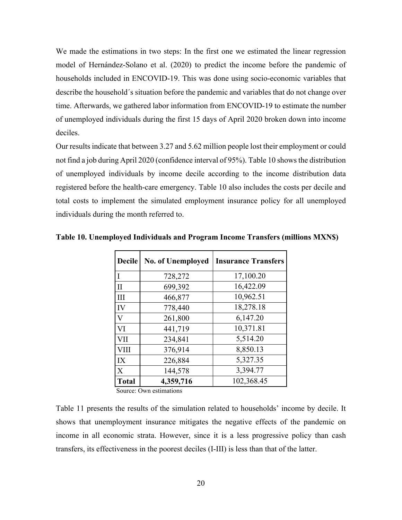We made the estimations in two steps: In the first one we estimated the linear regression model of Hernández-Solano et al. (2020) to predict the income before the pandemic of households included in ENCOVID-19. This was done using socio-economic variables that describe the household´s situation before the pandemic and variables that do not change over time. Afterwards, we gathered labor information from ENCOVID-19 to estimate the number of unemployed individuals during the first 15 days of April 2020 broken down into income deciles.

Our results indicate that between 3.27 and 5.62 million people lost their employment or could not find a job during April 2020 (confidence interval of 95%). Table 10 shows the distribution of unemployed individuals by income decile according to the income distribution data registered before the health-care emergency. Table 10 also includes the costs per decile and total costs to implement the simulated employment insurance policy for all unemployed individuals during the month referred to.

| 17,100.20<br>$\mathbf I$<br>728,272<br>16,422.09<br>699,392<br>$\mathbf{I}$<br>10,962.51<br>III<br>466,877<br>18,278.18<br>IV<br>778,440<br>6,147.20<br>261,800<br>V<br>10,371.81<br>VI<br>441,719<br>5,514.20<br>VII<br>234,841<br>8,850.13<br><b>VIII</b><br>376,914<br>5,327.35<br>IX<br>226,884 | <b>Decile</b> | <b>No. of Unemployed</b> | <b>Insurance Transfers</b> |
|-----------------------------------------------------------------------------------------------------------------------------------------------------------------------------------------------------------------------------------------------------------------------------------------------------|---------------|--------------------------|----------------------------|
|                                                                                                                                                                                                                                                                                                     |               |                          |                            |
|                                                                                                                                                                                                                                                                                                     |               |                          |                            |
|                                                                                                                                                                                                                                                                                                     |               |                          |                            |
|                                                                                                                                                                                                                                                                                                     |               |                          |                            |
|                                                                                                                                                                                                                                                                                                     |               |                          |                            |
|                                                                                                                                                                                                                                                                                                     |               |                          |                            |
|                                                                                                                                                                                                                                                                                                     |               |                          |                            |
|                                                                                                                                                                                                                                                                                                     |               |                          |                            |
|                                                                                                                                                                                                                                                                                                     |               |                          |                            |
| 3,394.77<br>X<br>144,578                                                                                                                                                                                                                                                                            |               |                          |                            |
| 102,368.45<br>4,359,716<br><b>Total</b>                                                                                                                                                                                                                                                             |               |                          |                            |

**Table 10. Unemployed Individuals and Program Income Transfers (millions MXN\$)**

Table 11 presents the results of the simulation related to households' income by decile. It shows that unemployment insurance mitigates the negative effects of the pandemic on income in all economic strata. However, since it is a less progressive policy than cash transfers, its effectiveness in the poorest deciles (I-III) is less than that of the latter.

Source: Own estimations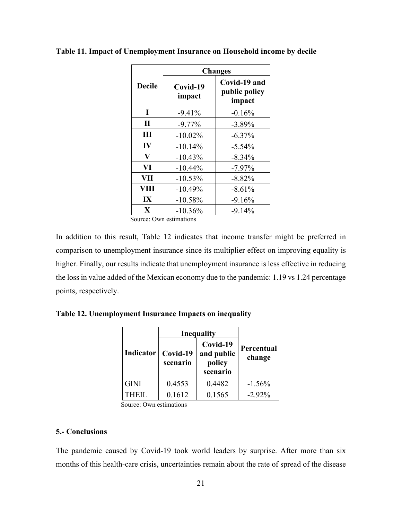|               | <b>Changes</b>     |                                         |
|---------------|--------------------|-----------------------------------------|
| <b>Decile</b> | Covid-19<br>impact | Covid-19 and<br>public policy<br>impact |
| I             | $-9.41%$           | $-0.16%$                                |
| $\mathbf{I}$  | $-9.77\%$          | $-3.89%$                                |
| Ш             | $-10.02\%$         | $-6.37%$                                |
| IV            | $-10.14%$          | $-5.54%$                                |
| V             | $-10.43%$          | $-8.34%$                                |
| VI            | $-10.44%$          | $-7.97%$                                |
| VII           | $-10.53%$          | $-8.82%$                                |
| VIII          | $-10.49%$          | $-8.61%$                                |
| IX            | $-10.58%$          | $-9.16%$                                |
| $\mathbf{X}$  | $-10.36%$          | $-9.14%$                                |

**Table 11. Impact of Unemployment Insurance on Household income by decile**

Source: Own estimations

In addition to this result, Table 12 indicates that income transfer might be preferred in comparison to unemployment insurance since its multiplier effect on improving equality is higher. Finally, our results indicate that unemployment insurance is less effective in reducing the loss in value added of the Mexican economy due to the pandemic: 1.19 vs 1.24 percentage points, respectively.

| Indicator   | <b>Inequality</b>    |                                              |                      |
|-------------|----------------------|----------------------------------------------|----------------------|
|             | Covid-19<br>scenario | Covid-19<br>and public<br>policy<br>scenario | Percentual<br>change |
| <b>GINI</b> | 0.4553               | 0.4482                                       | $-1.56%$             |
| THEIL.      | 0.1612               | 0.1565                                       | $-2.92\%$            |

**Table 12. Unemployment Insurance Impacts on inequality**

### **5.- Conclusions**

The pandemic caused by Covid-19 took world leaders by surprise. After more than six months of this health-care crisis, uncertainties remain about the rate of spread of the disease

Source: Own estimations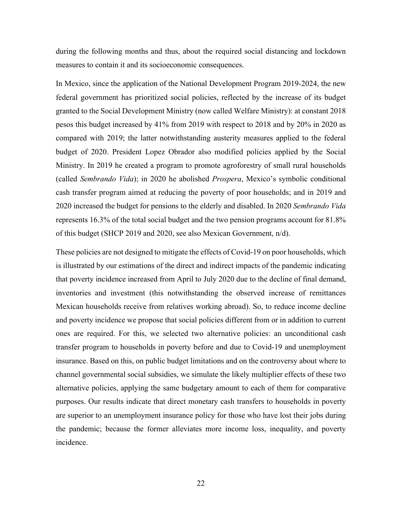during the following months and thus, about the required social distancing and lockdown measures to contain it and its socioeconomic consequences.

In Mexico, since the application of the National Development Program 2019-2024, the new federal government has prioritized social policies, reflected by the increase of its budget granted to the Social Development Ministry (now called Welfare Ministry): at constant 2018 pesos this budget increased by 41% from 2019 with respect to 2018 and by 20% in 2020 as compared with 2019; the latter notwithstanding austerity measures applied to the federal budget of 2020. President Lopez Obrador also modified policies applied by the Social Ministry. In 2019 he created a program to promote agroforestry of small rural households (called *Sembrando Vida*); in 2020 he abolished *Prospera*, Mexico's symbolic conditional cash transfer program aimed at reducing the poverty of poor households; and in 2019 and 2020 increased the budget for pensions to the elderly and disabled. In 2020 *Sembrando Vida*  represents 16.3% of the total social budget and the two pension programs account for 81.8% of this budget (SHCP 2019 and 2020, see also Mexican Government, n/d).

These policies are not designed to mitigate the effects of Covid-19 on poor households, which is illustrated by our estimations of the direct and indirect impacts of the pandemic indicating that poverty incidence increased from April to July 2020 due to the decline of final demand, inventories and investment (this notwithstanding the observed increase of remittances Mexican households receive from relatives working abroad). So, to reduce income decline and poverty incidence we propose that social policies different from or in addition to current ones are required. For this, we selected two alternative policies: an unconditional cash transfer program to households in poverty before and due to Covid-19 and unemployment insurance. Based on this, on public budget limitations and on the controversy about where to channel governmental social subsidies, we simulate the likely multiplier effects of these two alternative policies, applying the same budgetary amount to each of them for comparative purposes. Our results indicate that direct monetary cash transfers to households in poverty are superior to an unemployment insurance policy for those who have lost their jobs during the pandemic; because the former alleviates more income loss, inequality, and poverty incidence.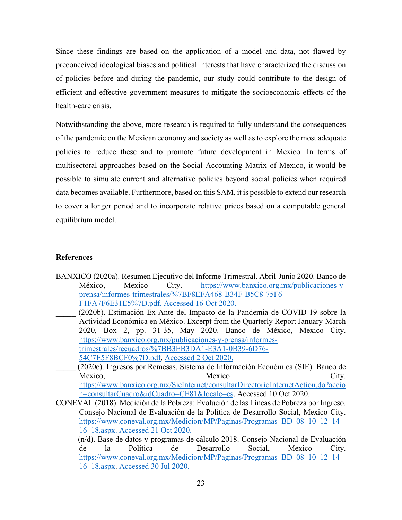Since these findings are based on the application of a model and data, not flawed by preconceived ideological biases and political interests that have characterized the discussion of policies before and during the pandemic, our study could contribute to the design of efficient and effective government measures to mitigate the socioeconomic effects of the health-care crisis.

Notwithstanding the above, more research is required to fully understand the consequences of the pandemic on the Mexican economy and society as well as to explore the most adequate policies to reduce these and to promote future development in Mexico. In terms of multisectoral approaches based on the Social Accounting Matrix of Mexico, it would be possible to simulate current and alternative policies beyond social policies when required data becomes available. Furthermore, based on this SAM, it is possible to extend our research to cover a longer period and to incorporate relative prices based on a computable general equilibrium model.

# **References**

- BANXICO (2020a). Resumen Ejecutivo del Informe Trimestral. Abril-Junio 2020. Banco de México, Mexico City. [https://www.banxico.org.mx/publicaciones-y](https://www.banxico.org.mx/publicaciones-y-prensa/informes-trimestrales/%7BF8EFA468-B34F-B5C8-75F6-F1FA7F6E31E5%7D.pdf)[prensa/informes-trimestrales/%7BF8EFA468-B34F-B5C8-75F6-](https://www.banxico.org.mx/publicaciones-y-prensa/informes-trimestrales/%7BF8EFA468-B34F-B5C8-75F6-F1FA7F6E31E5%7D.pdf) [F1FA7F6E31E5%7D.pdf.](https://www.banxico.org.mx/publicaciones-y-prensa/informes-trimestrales/%7BF8EFA468-B34F-B5C8-75F6-F1FA7F6E31E5%7D.pdf) Accessed 16 Oct 2020.
- \_\_\_\_\_ (2020b). Estimación Ex-Ante del Impacto de la Pandemia de COVID-19 sobre la Actividad Económica en México. Excerpt from the Quarterly Report January-March 2020, Box 2, pp. 31-35, May 2020. Banco de México, Mexico City. [https://www.banxico.org.mx/publicaciones-y-prensa/informes](https://www.banxico.org.mx/publicaciones-y-prensa/informes-trimestrales/recuadros/%7BB3EB3DA1-E3A1-0B39-6D76-54C7E5F8BCF0%7D.pdf)[trimestrales/recuadros/%7BB3EB3DA1-E3A1-0B39-6D76-](https://www.banxico.org.mx/publicaciones-y-prensa/informes-trimestrales/recuadros/%7BB3EB3DA1-E3A1-0B39-6D76-54C7E5F8BCF0%7D.pdf) [54C7E5F8BCF0%7D.pdf.](https://www.banxico.org.mx/publicaciones-y-prensa/informes-trimestrales/recuadros/%7BB3EB3DA1-E3A1-0B39-6D76-54C7E5F8BCF0%7D.pdf) Accessed 2 Oct 2020.
- \_\_\_\_\_ (2020c). Ingresos por Remesas. Sistema de Información Económica (SIE). Banco de México, City. [https://www.banxico.org.mx/SieInternet/consultarDirectorioInternetAction.do?accio](https://www.banxico.org.mx/SieInternet/consultarDirectorioInternetAction.do?accion=consultarCuadro&idCuadro=CE81&locale=es) [n=consultarCuadro&idCuadro=CE81&locale=es.](https://www.banxico.org.mx/SieInternet/consultarDirectorioInternetAction.do?accion=consultarCuadro&idCuadro=CE81&locale=es) Accessed 10 Oct 2020.
- CONEVAL (2018). Medición de la Pobreza: Evolución de las Líneas de Pobreza por Ingreso. Consejo Nacional de Evaluación de la Política de Desarrollo Social, Mexico City. https://www.coneval.org.mx/Medicion/MP/Paginas/Programas\_BD\_08\_10\_12\_14 [16\\_18.aspx.](https://www.coneval.org.mx/Medicion/MP/Paginas/Programas_BD_08_10_12_14_16_18.aspx) Accessed 21 Oct 2020.
	- \_\_\_\_\_ (n/d). Base de datos y programas de cálculo 2018. Consejo Nacional de Evaluación de la Política de Desarrollo Social, Mexico City. https://www.coneval.org.mx/Medicion/MP/Paginas/Programas BD 08 10 12 14 [16\\_18.aspx.](https://www.coneval.org.mx/Medicion/MP/Paginas/Programas_BD_08_10_12_14_16_18.aspx) Accessed 30 Jul 2020.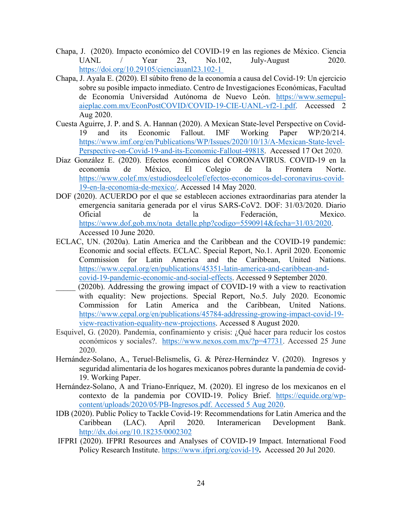- Chapa, J. (2020). Impacto económico del COVID-19 en las regiones de México. Ciencia UANL / Year 23, No.102, July-August 2020. [https://doi.org/10.29105/cienciauanl23.102-1](https://doi.org/10.29105/cienciauanl23.102-1%C2%A0)
- Chapa, J. Ayala E. (2020). El súbito freno de la economía a causa del Covid-19: Un ejercicio sobre su posible impacto inmediato. Centro de Investigaciones Económicas, Facultad de Economía Universidad Autónoma de Nuevo León. [https://www.semepul](https://www.semepul-aieplac.com.mx/EconPostCOVID/COVID-19-CIE-UANL-vf2-1.pdf)[aieplac.com.mx/EconPostCOVID/COVID-19-CIE-UANL-vf2-1.pdf.](https://www.semepul-aieplac.com.mx/EconPostCOVID/COVID-19-CIE-UANL-vf2-1.pdf) Accessed 2 Aug 2020.
- Cuesta Aguirre, J. P. and S. A. Hannan (2020). A Mexican State-level Perspective on Covid-19 and its Economic Fallout. IMF Working Paper WP/20/214. [https://www.imf.org/en/Publications/WP/Issues/2020/10/13/A-Mexican-State-level-](https://www.imf.org/en/Publications/WP/Issues/2020/10/13/A-Mexican-State-level-Perspective-on-Covid-19-and-its-Economic-Fallout-49818)[Perspective-on-Covid-19-and-its-Economic-Fallout-49818.](https://www.imf.org/en/Publications/WP/Issues/2020/10/13/A-Mexican-State-level-Perspective-on-Covid-19-and-its-Economic-Fallout-49818) Accessed 17 Oct 2020.
- Díaz González E. (2020). Efectos económicos del CORONAVIRUS. COVID-19 en la economía de México, El Colegio de la Frontera Norte. [https://www.colef.mx/estudiosdeelcolef/efectos-economicos-del-coronavirus-covid-](https://www.colef.mx/estudiosdeelcolef/efectos-economicos-del-coronavirus-covid-19-en-la-economia-de-mexico/)[19-en-la-economia-de-mexico/.](https://www.colef.mx/estudiosdeelcolef/efectos-economicos-del-coronavirus-covid-19-en-la-economia-de-mexico/) Accessed 14 May 2020.
- DOF (2020). ACUERDO por el que se establecen acciones extraordinarias para atender la emergencia sanitaria generada por el virus SARS-CoV2. DOF: 31/03/2020. Diario Oficial de la Federación, Mexico. [https://www.dof.gob.mx/nota\\_detalle.php?codigo=5590914&fecha=31/03/2020.](https://www.dof.gob.mx/nota_detalle.php?codigo=5590914&fecha=31/03/2020) Accessed 10 June 2020.
- ECLAC, UN. (2020a). Latin America and the Caribbean and the COVID-19 pandemic: Economic and social effects. ECLAC. Special Report, No.1. April 2020. Economic Commission for Latin America and the Caribbean, United Nations. [https://www.cepal.org/en/publications/45351-latin-america-and-caribbean-and](https://www.cepal.org/en/publications/45351-latin-america-and-caribbean-and-covid-19-pandemic-economic-and-social-effects)[covid-19-pandemic-economic-and-social-effects.](https://www.cepal.org/en/publications/45351-latin-america-and-caribbean-and-covid-19-pandemic-economic-and-social-effects) Accessed 9 September 2020.
- (2020b). Addressing the growing impact of COVID-19 with a view to reactivation with equality: New projections. Special Report, No.5. July 2020. Economic Commission for Latin America and the Caribbean, United Nations. [https://www.cepal.org/en/publications/45784-addressing-growing-impact-covid-19](https://www.cepal.org/en/publications/45784-addressing-growing-impact-covid-19-view-reactivation-equality-new-projections) [view-reactivation-equality-new-projections.](https://www.cepal.org/en/publications/45784-addressing-growing-impact-covid-19-view-reactivation-equality-new-projections) Accessed 8 August 2020.
- Esquivel, G. (2020). Pandemia, confinamiento y crisis: ¿Qué hacer para reducir los costos económicos y sociales?. [https://www.nexos.com.mx/?p=47731.](https://www.nexos.com.mx/?p=47731) Accessed 25 June 2020.
- Hernández-Solano, A., Teruel-Belismelis, G. & Pérez-Hernández V. (2020). Ingresos y seguridad alimentaria de los hogares mexicanos pobres durante la pandemia de covid-19. Working Paper.
- Hernández-Solano, A and Triano-Enríquez, M. (2020). El ingreso de los mexicanos en el contexto de la pandemia por COVID-19. Policy Brief. [https://equide.org/wp](https://equide.org/wp-content/uploads/2020/05/PB-Ingresos.pdf.%20Accessed%205%20Aug%202020)[content/uploads/2020/05/PB-Ingresos.pdf. Accessed 5 Aug 2020.](https://equide.org/wp-content/uploads/2020/05/PB-Ingresos.pdf.%20Accessed%205%20Aug%202020)
- IDB (2020). Public Policy to Tackle Covid-19: Recommendations for Latin America and the Caribbean (LAC). April 2020. Interamerican Development Bank. <http://dx.doi.org/10.18235/0002302>
- IFPRI (2020). IFPRI Resources and Analyses of COVID-19 Impact. International Food Policy Research Institute.<https://www.ifpri.org/covid-19>**.** Accessed 20 Jul 2020.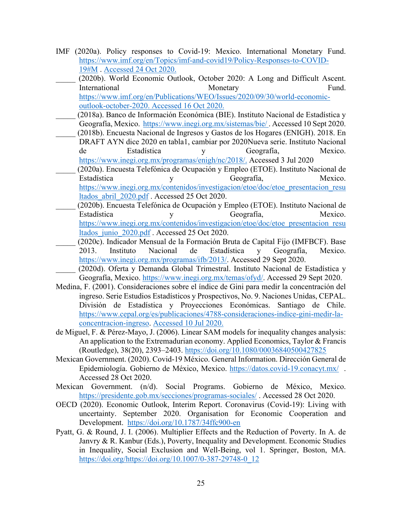- IMF (2020a). Policy responses to Covid-19: Mexico. International Monetary Fund. [https://www.imf.org/en/Topics/imf-and-covid19/Policy-Responses-to-COVID-](https://www.imf.org/en/Topics/imf-and-covid19/Policy-Responses-to-COVID-19#M)[19#M](https://www.imf.org/en/Topics/imf-and-covid19/Policy-Responses-to-COVID-19#M) . Accessed 24 Oct 2020.
	- (2020b). World Economic Outlook, October 2020: A Long and Difficult Ascent. International Monetary Monetary Fund. [https://www.imf.org/en/Publications/WEO/Issues/2020/09/30/world-economic](https://www.imf.org/en/Publications/WEO/Issues/2020/09/30/world-economic-outlook-october-2020)[outlook-october-2020.](https://www.imf.org/en/Publications/WEO/Issues/2020/09/30/world-economic-outlook-october-2020) Accessed 16 Oct 2020.
- (2018a). Banco de Información Económica (BIE). Instituto Nacional de Estadística y Geografía, Mexico.<https://www.inegi.org.mx/sistemas/bie/> . Accessed 10 Sept 2020.
- \_\_\_\_\_ (2018b). Encuesta Nacional de Ingresos y Gastos de los Hogares (ENIGH). 2018. En DRAFT AYN dice 2020 en tabla1, cambiar por 2020Nueva serie. Instituto Nacional de Estadística y Geografía, Mexico. [https://www.inegi.org.mx/programas/enigh/nc/2018/.](https://www.inegi.org.mx/programas/enigh/nc/2018/) Accessed 3 Jul 2020
- \_\_\_\_\_ (2020a). Encuesta Telefónica de Ocupación y Empleo (ETOE). Instituto Nacional de Estadística y Geografía, Mexico. [https://www.inegi.org.mx/contenidos/investigacion/etoe/doc/etoe\\_presentacion\\_resu](https://www.inegi.org.mx/contenidos/investigacion/etoe/doc/etoe_presentacion_resultados_abril_2020.pdf) [ltados\\_abril\\_2020.pdf](https://www.inegi.org.mx/contenidos/investigacion/etoe/doc/etoe_presentacion_resultados_abril_2020.pdf) . Accessed 25 Oct 2020.
- \_\_\_\_\_ (2020b). Encuesta Telefónica de Ocupación y Empleo (ETOE). Instituto Nacional de Estadística y Geografía, Mexico. [https://www.inegi.org.mx/contenidos/investigacion/etoe/doc/etoe\\_presentacion\\_resu](https://www.inegi.org.mx/contenidos/investigacion/etoe/doc/etoe_presentacion_resultados_junio_2020.pdf) [ltados\\_junio\\_2020.pdf](https://www.inegi.org.mx/contenidos/investigacion/etoe/doc/etoe_presentacion_resultados_junio_2020.pdf) . Accessed 25 Oct 2020.
- \_\_\_\_\_ (2020c). Indicador Mensual de la Formación Bruta de Capital Fijo (IMFBCF). Base 2013. Instituto Nacional de Estadística y Geografía, Mexico. [https://www.inegi.org.mx/programas/ifb/2013/.](https://www.inegi.org.mx/temas/ofyd/) Accessed 29 Sept 2020.
- \_\_\_\_\_ (2020d). Oferta y Demanda Global Trimestral. Instituto Nacional de Estadística y Geografía, Mexico. [https://www.inegi.org.mx/temas/ofyd/.](https://www.inegi.org.mx/temas/ofyd/) Accessed 29 Sept 2020.
- Medina, F. (2001). Consideraciones sobre el índice de Gini para medir la concentración del ingreso. Serie Estudios Estadísticos y Prospectivos, No. 9. Naciones Unidas, CEPAL. División de Estadística y Proyecciones Económicas. Santiago de Chile. [https://www.cepal.org/es/publicaciones/4788-consideraciones-indice-gini-medir-la](https://www.cepal.org/es/publicaciones/4788-consideraciones-indice-gini-medir-la-concentracion-ingreso)[concentracion-ingreso.](https://www.cepal.org/es/publicaciones/4788-consideraciones-indice-gini-medir-la-concentracion-ingreso) Accessed 10 Jul 2020.
- de Miguel, F. & Pérez-Mayo, J. (2006). Linear SAM models for inequality changes analysis: An application to the Extremadurian economy. Applied Economics, Taylor & Francis (Routledge), 38(20), 2393–2403.<https://doi.org/10.1080/00036840500427825>
- Mexican Government. (2020). Covid-19 México. General Information. Dirección General de Epidemiología. Gobierno de México, Mexico.<https://datos.covid-19.conacyt.mx/> . Accessed 28 Oct 2020.
- Mexican Government. (n/d). Social Programs. Gobierno de México, Mexico. <https://presidente.gob.mx/secciones/programas-sociales/> . Accessed 28 Oct 2020.
- OECD (2020). Economic Outlook, Interim Report. Coronavirus (Covid-19): Living with uncertainty. September 2020. Organisation for Economic Cooperation and Development. <https://doi.org/10.1787/34ffc900-en>
- Pyatt, G. & Round, J. I. (2006). Multiplier Effects and the Reduction of Poverty. In A. de Janvry & R. Kanbur (Eds.), Poverty, Inequality and Development. Economic Studies in Inequality, Social Exclusion and Well-Being, vol 1. Springer, Boston, MA. [https://doi.org/https://doi.org/10.1007/0-387-29748-0\\_12](https://doi.org/https:/doi.org/10.1007/0-387-29748-0_12)